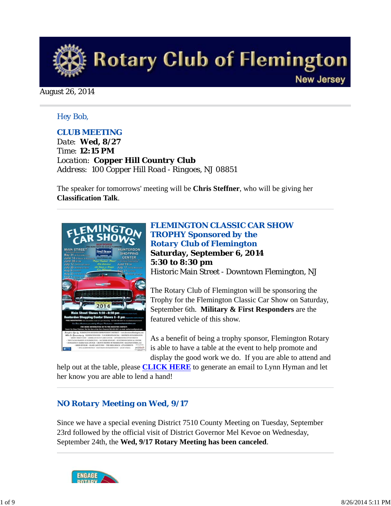

August 26, 2014

## *Hey Bob,*

## *CLUB MEETING*

*Date: Wed, 8/27 Time: 12:15 PM Location: Copper Hill Country Club Address: 100 Copper Hill Road - Ringoes, NJ 08851*

The speaker for tomorrows' meeting will be **Chris Steffner**, who will be giving her **Classification Talk**.



*FLEMINGTON CLASSIC CAR SHOW TROPHY Sponsored by the Rotary Club of Flemington* **Saturday, September 6, 2014 5:30 to 8:30 pm** Historic Main Street - Downtown Flemington, NJ

The Rotary Club of Flemington will be sponsoring the Trophy for the Flemington Classic Car Show on Saturday, September 6th. **Military & First Responders** are the featured vehicle of this show.

As a benefit of being a trophy sponsor, Flemington Rotary is able to have a table at the event to help promote and display the good work we do. If you are able to attend and

help out at the table, please **CLICK HERE** to generate an email to Lynn Hyman and let her know you are able to lend a hand!

## *NO Rotary Meeting on Wed, 9/17*

Since we have a special evening District 7510 County Meeting on Tuesday, September 23rd followed by the official visit of District Governor Mel Kevoe on Wednesday, September 24th, the **Wed, 9/17 Rotary Meeting has been canceled**.

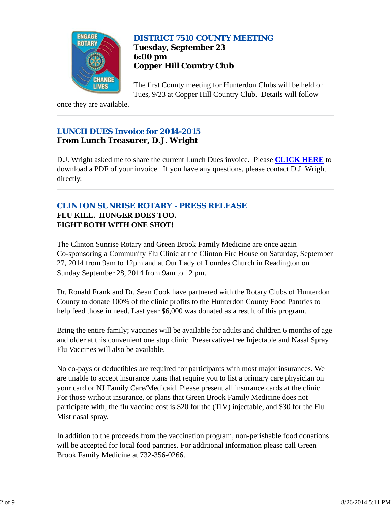

## *DISTRICT 7510 COUNTY MEETING* **Tuesday, September 23 6:00 pm Copper Hill Country Club**

The first County meeting for Hunterdon Clubs will be held on Tues, 9/23 at Copper Hill Country Club. Details will follow

once they are available.

## *LUNCH DUES Invoice for 2014-2015* **From Lunch Treasurer, D.J. Wright**

D.J. Wright asked me to share the current Lunch Dues invoice. Please **CLICK HERE** to download a PDF of your invoice. If you have any questions, please contact D.J. Wright directly.

## *CLINTON SUNRISE ROTARY - PRESS RELEASE* **FLU KILL. HUNGER DOES TOO. FIGHT BOTH WITH ONE SHOT!**

The Clinton Sunrise Rotary and Green Brook Family Medicine are once again Co-sponsoring a Community Flu Clinic at the Clinton Fire House on Saturday, September 27, 2014 from 9am to 12pm and at Our Lady of Lourdes Church in Readington on Sunday September 28, 2014 from 9am to 12 pm.

Dr. Ronald Frank and Dr. Sean Cook have partnered with the Rotary Clubs of Hunterdon County to donate 100% of the clinic profits to the Hunterdon County Food Pantries to help feed those in need. Last year \$6,000 was donated as a result of this program.

Bring the entire family; vaccines will be available for adults and children 6 months of age and older at this convenient one stop clinic. Preservative-free Injectable and Nasal Spray Flu Vaccines will also be available.

No co-pays or deductibles are required for participants with most major insurances. We are unable to accept insurance plans that require you to list a primary care physician on your card or NJ Family Care/Medicaid. Please present all insurance cards at the clinic. For those without insurance, or plans that Green Brook Family Medicine does not participate with, the flu vaccine cost is \$20 for the (TIV) injectable, and \$30 for the Flu Mist nasal spray.

In addition to the proceeds from the vaccination program, non-perishable food donations will be accepted for local food pantries. For additional information please call Green Brook Family Medicine at 732-356-0266.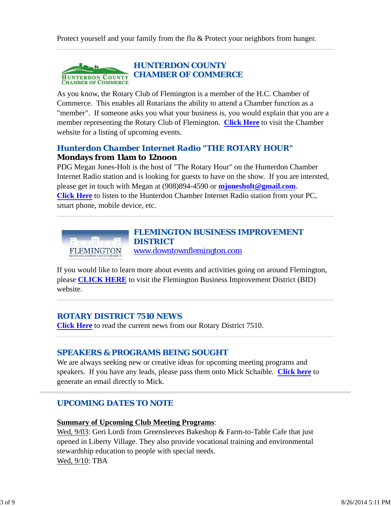

As you know, the Rotary Club of Flemington is a member of the H.C. Chamber of Commerce. This enables all Rotarians the ability to attend a Chamber function as a "member". If someone asks you what your business is, you would explain that you are a member representing the Rotary Club of Flemington. **Click Here** to visit the Chamber website for a listing of upcoming events.

## *Hunterdon Chamber Internet Radio "THE ROTARY HOUR"* **Mondays from 11am to 12noon**

PDG Megan Jones-Holt is the host of "The Rotary Hour" on the Hunterdon Chamber Internet Radio station and is looking for guests to have on the show. If you are intersted, please get in touch with Megan at (908)894-4590 or **mjonesholt@gmail.com**. **Click Here** to listen to the Hunterdon Chamber Internet Radio station from your PC, smart phone, mobile device, etc.



If you would like to learn more about events and activities going on around Flemington, please **CLICK HERE** to visit the Flemington Business Improvement District (BID) website.

## *ROTARY DISTRICT 7510 NEWS*

**Click Here** to read the current news from our Rotary District 7510.

## *SPEAKERS & PROGRAMS BEING SOUGHT*

We are always seeking new or creative ideas for upcoming meeting programs and speakers. If you have any leads, please pass them onto Mick Schaible. **Click here** to generate an email directly to Mick.

## *UPCOMING DATES TO NOTE*

#### **Summary of Upcoming Club Meeting Programs**:

Wed, 9/03: Geri Lordi from Greensleeves Bakeshop & Farm-to-Table Cafe that just opened in Liberty Village. They also provide vocational training and environmental stewardship education to people with special needs. Wed, 9/10: TBA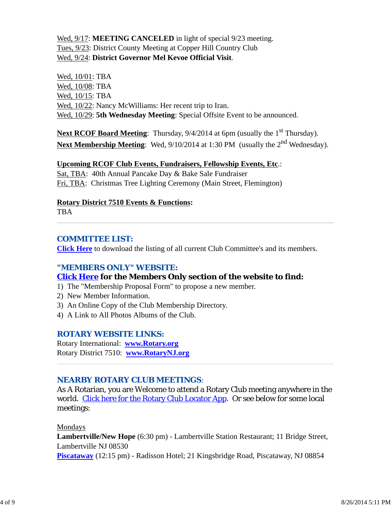## Wed, 9/17: **MEETING CANCELED** in light of special 9/23 meeting. Tues, 9/23: District County Meeting at Copper Hill Country Club Wed, 9/24: **District Governor Mel Kevoe Official Visit**.

Wed, 10/01: TBA Wed, 10/08: TBA Wed, 10/15: TBA Wed,  $10/22$ : Nancy McWilliams: Her recent trip to Iran. Wed, 10/29: **5th Wednesday Meeting**: Special Offsite Event to be announced.

Next RCOF Board Meeting: Thursday, 9/4/2014 at 6pm (usually the 1<sup>st</sup> Thursday). **Next Membership Meeting**: Wed, 9/10/2014 at 1:30 PM (usually the 2<sup>nd</sup> Wednesday).

## **Upcoming RCOF Club Events, Fundraisers, Fellowship Events, Etc**.:

Sat, TBA: 40th Annual Pancake Day & Bake Sale Fundraiser Fri, TBA: Christmas Tree Lighting Ceremony (Main Street, Flemington)

#### **Rotary District 7510 Events & Functions:**

TBA

## *COMMITTEE LIST:*

**Click Here** to download the listing of all current Club Committee's and its members.

## *"MEMBERS ONLY" WEBSITE:*

## **Click Here for the Members Only section of the website to find:**

- 1) The "Membership Proposal Form" to propose a new member.
- 2) New Member Information.
- 3) An Online Copy of the Club Membership Directory.
- 4) A Link to All Photos Albums of the Club.

## *ROTARY WEBSITE LINKS:*

Rotary International: **www.Rotary.org** Rotary District 7510: **www.RotaryNJ.org**

## *NEARBY ROTARY CLUB MEETINGS:*

As A Rotarian, you are Welcome to attend a Rotary Club meeting anywhere in the world. Click here for the Rotary Club Locator App. Or see below for some local meetings:

## Mondays

**Lambertville/New Hope** (6:30 pm) - Lambertville Station Restaurant; 11 Bridge Street, Lambertville NJ 08530 **Piscataway** (12:15 pm) - Radisson Hotel; 21 Kingsbridge Road, Piscataway, NJ 08854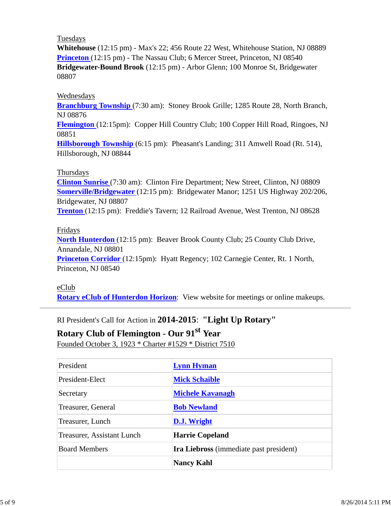#### Tuesdays

**Whitehouse** (12:15 pm) - Max's 22; 456 Route 22 West, Whitehouse Station, NJ 08889 **Princeton** (12:15 pm) - The Nassau Club; 6 Mercer Street, Princeton, NJ 08540 **Bridgewater-Bound Brook** (12:15 pm) - Arbor Glenn; 100 Monroe St, Bridgewater 08807

#### Wednesdays

**Branchburg Township** (7:30 am): Stoney Brook Grille; 1285 Route 28, North Branch, NJ 08876

**Flemington** (12:15pm): Copper Hill Country Club; 100 Copper Hill Road, Ringoes, NJ 08851

**Hillsborough Township** (6:15 pm): Pheasant's Landing; 311 Amwell Road (Rt. 514), Hillsborough, NJ 08844

#### Thursdays

**Clinton Sunrise** (7:30 am): Clinton Fire Department; New Street, Clinton, NJ 08809 **Somerville/Bridgewater** (12:15 pm): Bridgewater Manor; 1251 US Highway 202/206, Bridgewater, NJ 08807

**Trenton** (12:15 pm): Freddie's Tavern; 12 Railroad Avenue, West Trenton, NJ 08628

#### Fridays

**North Hunterdon** (12:15 pm): Beaver Brook County Club; 25 County Club Drive, Annandale, NJ 08801

**Princeton Corridor** (12:15pm): Hyatt Regency; 102 Carnegie Center, Rt. 1 North, Princeton, NJ 08540

## eClub

**Rotary eClub of Hunterdon Horizon**: View website for meetings or online makeups.

RI President's Call for Action in **2014-2015**: **"Light Up Rotary"**

# **Rotary Club of Flemington - Our 91st Year**

Founded October 3, 1923 \* Charter #1529 \* District 7510

| President                  | <b>Lynn Hyman</b>                              |
|----------------------------|------------------------------------------------|
| President-Elect            | <b>Mick Schaible</b>                           |
| Secretary                  | <b>Michele Kavanagh</b>                        |
| Treasurer, General         | <b>Bob Newland</b>                             |
| Treasurer, Lunch           | D.J. Wright                                    |
| Treasurer, Assistant Lunch | <b>Harrie Copeland</b>                         |
| <b>Board Members</b>       | <b>Ira Liebross</b> (immediate past president) |
|                            | <b>Nancy Kahl</b>                              |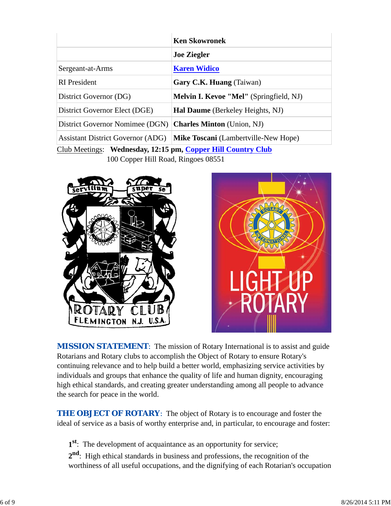|                                                              | <b>Ken Skowronek</b>                           |  |  |
|--------------------------------------------------------------|------------------------------------------------|--|--|
|                                                              | <b>Joe Ziegler</b>                             |  |  |
| Sergeant-at-Arms                                             | <b>Karen Widico</b>                            |  |  |
| <b>RI</b> President                                          | Gary C.K. Huang (Taiwan)                       |  |  |
| District Governor (DG)                                       | <b>Melvin I. Kevoe "Mel"</b> (Springfield, NJ) |  |  |
| District Governor Elect (DGE)                                | <b>Hal Daume</b> (Berkeley Heights, NJ)        |  |  |
| District Governor Nomimee (DGN)                              | <b>Charles Minton</b> (Union, NJ)              |  |  |
| <b>Assistant District Governor (ADG)</b>                     | <b>Mike Toscani</b> (Lambertville-New Hope)    |  |  |
| Club Meetings: Wednesday, 12:15 pm, Copper Hill Country Club |                                                |  |  |

100 Copper Hill Road, Ringoes 08551





**MISSION STATEMENT:** The mission of Rotary International is to assist and guide Rotarians and Rotary clubs to accomplish the Object of Rotary to ensure Rotary's continuing relevance and to help build a better world, emphasizing service activities by individuals and groups that enhance the quality of life and human dignity, encouraging high ethical standards, and creating greater understanding among all people to advance the search for peace in the world.

**THE OBJECT OF ROTARY:** The object of Rotary is to encourage and foster the ideal of service as a basis of worthy enterprise and, in particular, to encourage and foster:

**1st**: The development of acquaintance as an opportunity for service;

**2nd**: High ethical standards in business and professions, the recognition of the worthiness of all useful occupations, and the dignifying of each Rotarian's occupation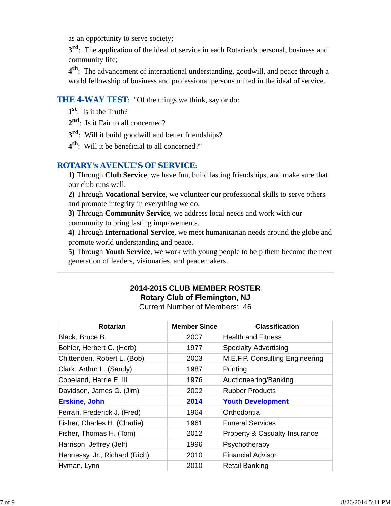as an opportunity to serve society;

**3<sup>rd</sup>**: The application of the ideal of service in each Rotarian's personal, business and community life;

**4th**: The advancement of international understanding, goodwill, and peace through a world fellowship of business and professional persons united in the ideal of service.

## **THE 4-WAY TEST:** "Of the things we think, say or do:

- **1st**: Is it the Truth?
- 2<sup>nd</sup>: Is it Fair to all concerned?
- **3rd**: Will it build goodwill and better friendships?
- **4th**: Will it be beneficial to all concerned?"

## *ROTARY's AVENUE'S OF SERVICE*:

**1)** Through **Club Service**, we have fun, build lasting friendships, and make sure that our club runs well.

**2)** Through **Vocational Service**, we volunteer our professional skills to serve others and promote integrity in everything we do.

**3)** Through **Community Service**, we address local needs and work with our community to bring lasting improvements.

**4)** Through **International Service**, we meet humanitarian needs around the globe and promote world understanding and peace.

**5)** Through **Youth Service**, we work with young people to help them become the next generation of leaders, visionaries, and peacemakers.

## **2014-2015 CLUB MEMBER ROSTER Rotary Club of Flemington, NJ**

Current Number of Members: 46

| <b>Rotarian</b>               | <b>Member Since</b> | <b>Classification</b>                    |
|-------------------------------|---------------------|------------------------------------------|
| Black, Bruce B.               | 2007                | <b>Health and Fitness</b>                |
| Bohler, Herbert C. (Herb)     | 1977                | <b>Specialty Advertising</b>             |
| Chittenden, Robert L. (Bob)   | 2003                | M.E.F.P. Consulting Engineering          |
| Clark, Arthur L. (Sandy)      | 1987                | Printing                                 |
| Copeland, Harrie E. III       | 1976                | Auctioneering/Banking                    |
| Davidson, James G. (Jim)      | 2002                | <b>Rubber Products</b>                   |
| <b>Erskine, John</b>          | 2014                | <b>Youth Development</b>                 |
| Ferrari, Frederick J. (Fred)  | 1964                | Orthodontia                              |
| Fisher, Charles H. (Charlie)  | 1961                | <b>Funeral Services</b>                  |
| Fisher, Thomas H. (Tom)       | 2012                | <b>Property &amp; Casualty Insurance</b> |
| Harrison, Jeffrey (Jeff)      | 1996                | Psychotherapy                            |
| Hennessy, Jr., Richard (Rich) | 2010                | <b>Financial Advisor</b>                 |
| Hyman, Lynn                   | 2010                | <b>Retail Banking</b>                    |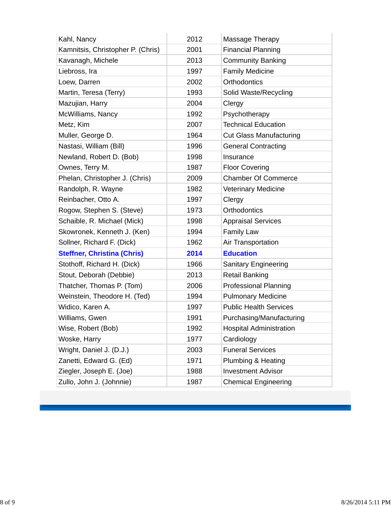| Kahl, Nancy                        | 2012 | Massage Therapy                |
|------------------------------------|------|--------------------------------|
| Kamnitsis, Christopher P. (Chris)  | 2001 | <b>Financial Planning</b>      |
| Kavanagh, Michele                  | 2013 | <b>Community Banking</b>       |
| Liebross, Ira                      | 1997 | <b>Family Medicine</b>         |
| Loew, Darren                       | 2002 | Orthodontics                   |
| Martin, Teresa (Terry)             | 1993 | Solid Waste/Recycling          |
| Mazujian, Harry                    | 2004 | Clergy                         |
| McWilliams, Nancy                  | 1992 | Psychotherapy                  |
| Metz, Kim                          | 2007 | <b>Technical Education</b>     |
| Muller, George D.                  | 1964 | <b>Cut Glass Manufacturing</b> |
| Nastasi, William (Bill)            | 1996 | <b>General Contracting</b>     |
| Newland, Robert D. (Bob)           | 1998 | Insurance                      |
| Ownes, Terry M.                    | 1987 | <b>Floor Covering</b>          |
| Phelan, Christopher J. (Chris)     | 2009 | <b>Chamber Of Commerce</b>     |
| Randolph, R. Wayne                 | 1982 | <b>Veterinary Medicine</b>     |
| Reinbacher, Otto A.                | 1997 | Clergy                         |
| Rogow, Stephen S. (Steve)          | 1973 | <b>Orthodontics</b>            |
| Schaible, R. Michael (Mick)        | 1998 | <b>Appraisal Services</b>      |
| Skowronek, Kenneth J. (Ken)        | 1994 | <b>Family Law</b>              |
| Sollner, Richard F. (Dick)         | 1962 | Air Transportation             |
| <b>Steffner, Christina (Chris)</b> | 2014 | <b>Education</b>               |
| Stothoff, Richard H. (Dick)        | 1966 | Sanitary Engineering           |
| Stout, Deborah (Debbie)            | 2013 | <b>Retail Banking</b>          |
| Thatcher, Thomas P. (Tom)          | 2006 | <b>Professional Planning</b>   |
| Weinstein, Theodore H. (Ted)       | 1994 | <b>Pulmonary Medicine</b>      |
| Widico, Karen A.                   | 1997 | <b>Public Health Services</b>  |
| Williams, Gwen                     | 1991 | Purchasing/Manufacturing       |
| Wise, Robert (Bob)                 | 1992 | <b>Hospital Administration</b> |
| Woske, Harry                       | 1977 | Cardiology                     |
| Wright, Daniel J. (D.J.)           | 2003 | <b>Funeral Services</b>        |
| Zanetti, Edward G. (Ed)            | 1971 | Plumbing & Heating             |
| Ziegler, Joseph E. (Joe)           | 1988 | <b>Investment Advisor</b>      |
| Zullo, John J. (Johnnie)           | 1987 | <b>Chemical Engineering</b>    |